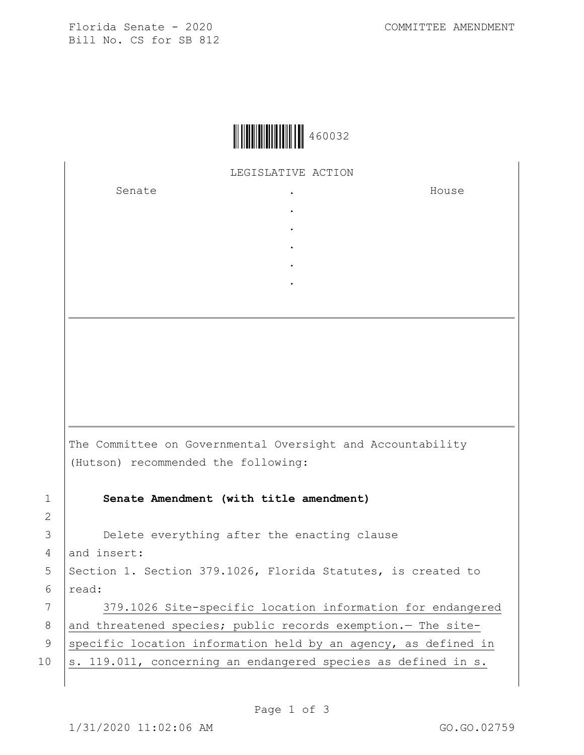Florida Senate - 2020 COMMITTEE AMENDMENT Bill No. CS for SB 812



LEGISLATIVE ACTION

. . . . .

Senate .

House

|                | The Committee on Governmental Oversight and Accountability<br>(Hutson) recommended the following: |
|----------------|---------------------------------------------------------------------------------------------------|
| $\mathbf 1$    | Senate Amendment (with title amendment)                                                           |
| $\overline{2}$ |                                                                                                   |
| 3              | Delete everything after the enacting clause                                                       |
| 4              | and insert:                                                                                       |
| 5              | Section 1. Section 379.1026, Florida Statutes, is created to                                      |
| 6              | read:                                                                                             |
| 7              | 379.1026 Site-specific location information for endangered                                        |

8 and threatened species; public records exemption. - The site-9 specific location information held by an agency, as defined in

10  $|s. 119.011$ , concerning an endangered species as defined in s.

2

6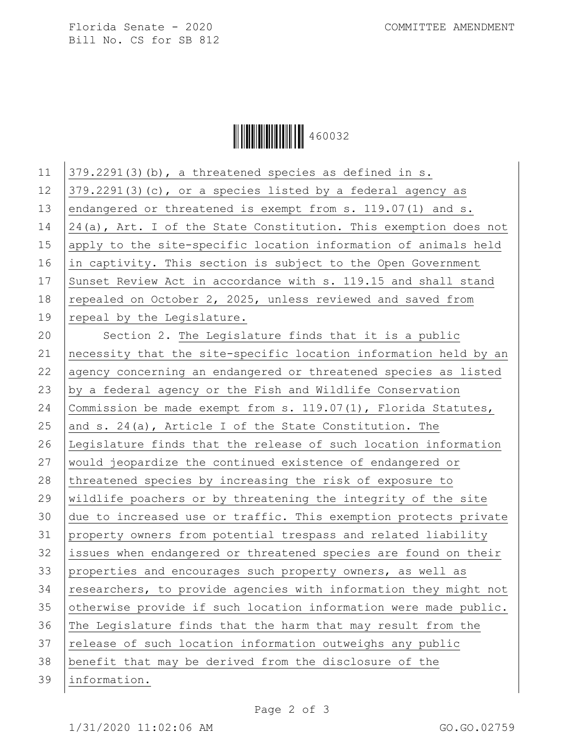Florida Senate - 2020 COMMITTEE AMENDMENT Bill No. CS for SB 812



| 11 | 379.2291(3)(b), a threatened species as defined in s.             |
|----|-------------------------------------------------------------------|
| 12 | $379.2291(3)$ (c), or a species listed by a federal agency as     |
| 13 | endangered or threatened is exempt from s. 119.07(1) and s.       |
| 14 | 24(a), Art. I of the State Constitution. This exemption does not  |
| 15 | apply to the site-specific location information of animals held   |
| 16 | in captivity. This section is subject to the Open Government      |
| 17 | Sunset Review Act in accordance with s. 119.15 and shall stand    |
| 18 | repealed on October 2, 2025, unless reviewed and saved from       |
| 19 | repeal by the Legislature.                                        |
| 20 | Section 2. The Legislature finds that it is a public              |
| 21 | necessity that the site-specific location information held by an  |
| 22 | agency concerning an endangered or threatened species as listed   |
| 23 | by a federal agency or the Fish and Wildlife Conservation         |
| 24 | Commission be made exempt from $s. 119.07(1)$ , Florida Statutes, |
| 25 | and s. $24(a)$ , Article I of the State Constitution. The         |
| 26 | Legislature finds that the release of such location information   |
| 27 | would jeopardize the continued existence of endangered or         |
| 28 | threatened species by increasing the risk of exposure to          |
| 29 | wildlife poachers or by threatening the integrity of the site     |
| 30 | due to increased use or traffic. This exemption protects private  |
| 31 | property owners from potential trespass and related liability     |
| 32 | issues when endangered or threatened species are found on their   |
| 33 | properties and encourages such property owners, as well as        |
| 34 | researchers, to provide agencies with information they might not  |
| 35 | otherwise provide if such location information were made public.  |
| 36 | The Legislature finds that the harm that may result from the      |
| 37 | release of such location information outweighs any public         |
| 38 | benefit that may be derived from the disclosure of the            |
| 39 | information.                                                      |
|    |                                                                   |